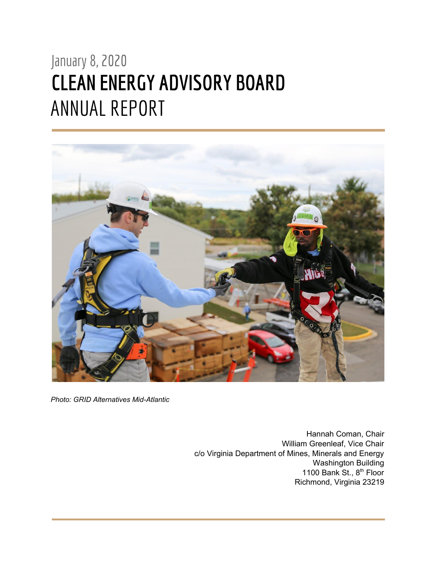# January 8, 2020 **CLEAN ENERGY ADVISORY BOARD** ANNUAL REPORT



*Photo: GRID Alternatives Mid-Atlantic*

Hannah Coman, Chair William Greenleaf, Vice Chair c/o Virginia Department of Mines, Minerals and Energy Washington Building 1100 Bank St., 8<sup>th</sup> Floor Richmond, Virginia 23219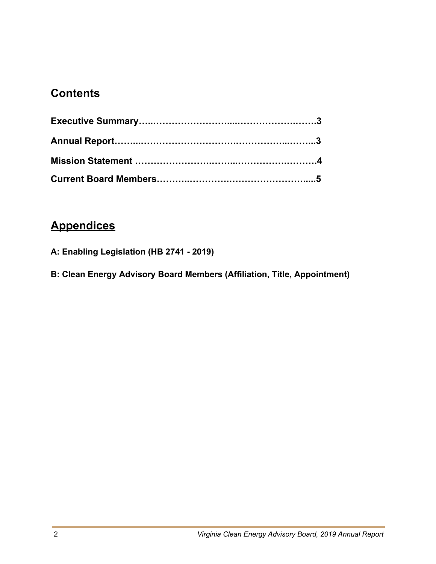#### **Contents**

## **Appendices**

- **A: Enabling Legislation (HB 2741 2019)**
- **B: Clean Energy Advisory Board Members (Affiliation, Title, Appointment)**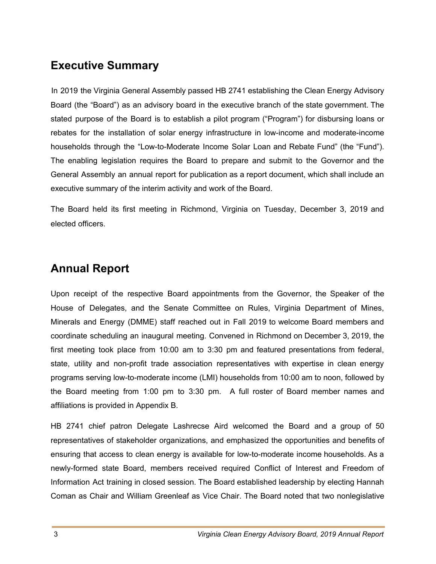#### **Executive Summary**

In 2019 the Virginia General Assembly passed HB 2741 establishing the Clean Energy Advisory Board (the "Board") as an advisory board in the executive branch of the state government. The stated purpose of the Board is to establish a pilot program ("Program") for disbursing loans or rebates for the installation of solar energy infrastructure in low-income and moderate-income households through the "Low-to-Moderate Income Solar Loan and Rebate Fund" (the "Fund"). The enabling legislation requires the Board to prepare and submit to the Governor and the General Assembly an annual report for publication as a report document, which shall include an executive summary of the interim activity and work of the Board.

The Board held its first meeting in Richmond, Virginia on Tuesday, December 3, 2019 and elected officers.

### **Annual Report**

Upon receipt of the respective Board appointments from the Governor, the Speaker of the House of Delegates, and the Senate Committee on Rules, Virginia Department of Mines, Minerals and Energy (DMME) staff reached out in Fall 2019 to welcome Board members and coordinate scheduling an inaugural meeting. Convened in Richmond on December 3, 2019, the first meeting took place from 10:00 am to 3:30 pm and featured presentations from federal, state, utility and non-profit trade association representatives with expertise in clean energy programs serving low-to-moderate income (LMI) households from 10:00 am to noon, followed by the Board meeting from 1:00 pm to 3:30 pm. A full roster of Board member names and affiliations is provided in Appendix B.

HB 2741 chief patron Delegate Lashrecse Aird welcomed the Board and a group of 50 representatives of stakeholder organizations, and emphasized the opportunities and benefits of ensuring that access to clean energy is available for low-to-moderate income households. As a newly-formed state Board, members received required Conflict of Interest and Freedom of Information Act training in closed session. The Board established leadership by electing Hannah Coman as Chair and William Greenleaf as Vice Chair. The Board noted that two nonlegislative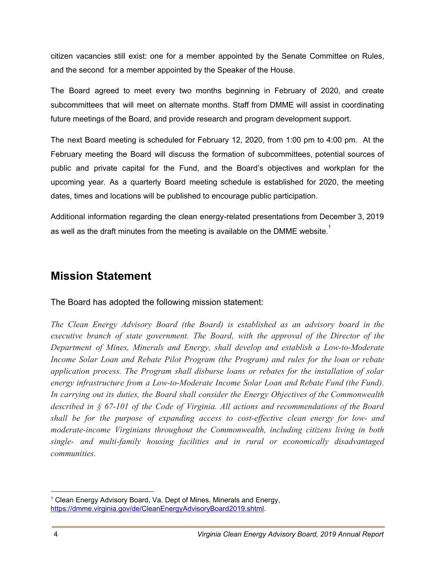citizen vacancies still exist: one for a member appointed by the Senate Committee on Rules, and the second for a member appointed by the Speaker of the House.

The Board agreed to meet every two months beginning in February of 2020, and create subcommittees that will meet on alternate months. Staff from DMME will assist in coordinating future meetings of the Board, and provide research and program development support.

The next Board meeting is scheduled for February 12, 2020, from 1:00 pm to 4:00 pm. At the February meeting the Board will discuss the formation of subcommittees, potential sources of public and private capital for the Fund, and the Board's objectives and workplan for the upcoming year. As a quarterly Board meeting schedule is established for 2020, the meeting dates, times and locations will be published to encourage public participation.

Additional information regarding the clean energy-related presentations from December 3, 2019 as well as the draft minutes from the meeting is available on the DMME website. $^\mathrm{1}$ 

#### **Mission Statement**

The Board has adopted the following mission statement:

*The Clean Energy Advisory Board (the Board) is established as an advisory board in the executive branch of state government. The Board, with the approval of the Director of the Department of Mines, Minerals and Energy, shall develop and establish a Low-to-Moderate Income Solar Loan and Rebate Pilot Program (the Program) and rules for the loan or rebate application process. The Program shall disburse loans or rebates for the installation of solar energy infrastructure from a Low-to-Moderate Income Solar Loan and Rebate Fund (the Fund). In carrying out its duties, the Board shall consider the Energy Objectives of the Commonwealth described in § 67-101 of the Code of Virginia. All actions and recommendations of the Board shall be for the purpose of expanding access to cost-effective clean energy for low- and moderate-income Virginians throughout the Commonwealth, including citizens living in both single- and multi-family housing facilities and in rural or economically disadvantaged communities.*

<sup>&</sup>lt;sup>1</sup> Clean Energy Advisory Board, Va. Dept of Mines, Minerals and Energy, <https://dmme.virginia.gov/de/CleanEnergyAdvisoryBoard2019.shtml>.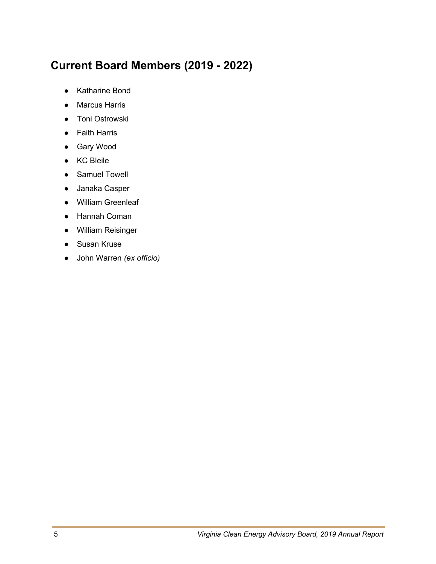## **Current Board Members (2019 - 2022)**

- Katharine Bond
- Marcus Harris
- Toni Ostrowski
- Faith Harris
- Gary Wood
- KC Bleile
- Samuel Towell
- Janaka Casper
- William Greenleaf
- Hannah Coman
- William Reisinger
- Susan Kruse
- John Warren *(ex officio)*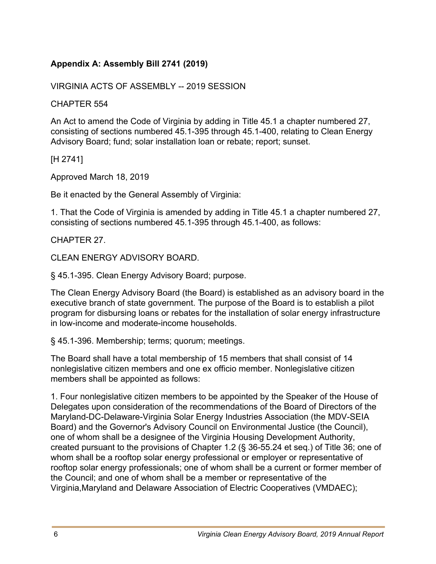#### **Appendix A: Assembly Bill 2741 (2019)**

VIRGINIA ACTS OF ASSEMBLY -- 2019 SESSION

CHAPTER 554

An Act to amend the Code of Virginia by adding in Title 45.1 a chapter numbered 27, consisting of sections numbered 45.1-395 through 45.1-400, relating to Clean Energy Advisory Board; fund; solar installation loan or rebate; report; sunset.

[H 2741]

Approved March 18, 2019

Be it enacted by the General Assembly of Virginia:

1. That the Code of Virginia is amended by adding in Title 45.1 a chapter numbered 27, consisting of sections numbered 45.1-395 through 45.1-400, as follows:

CHAPTER 27.

CLEAN ENERGY ADVISORY BOARD.

§ 45.1-395. Clean Energy Advisory Board; purpose.

The Clean Energy Advisory Board (the Board) is established as an advisory board in the executive branch of state government. The purpose of the Board is to establish a pilot program for disbursing loans or rebates for the installation of solar energy infrastructure in low-income and moderate-income households.

§ 45.1-396. Membership; terms; quorum; meetings.

The Board shall have a total membership of 15 members that shall consist of 14 nonlegislative citizen members and one ex officio member. Nonlegislative citizen members shall be appointed as follows:

1. Four nonlegislative citizen members to be appointed by the Speaker of the House of Delegates upon consideration of the recommendations of the Board of Directors of the Maryland-DC-Delaware-Virginia Solar Energy Industries Association (the MDV-SEIA Board) and the Governor's Advisory Council on Environmental Justice (the Council), one of whom shall be a designee of the Virginia Housing Development Authority, created pursuant to the provisions of Chapter 1.2 (§ 36-55.24 et seq.) of Title 36; one of whom shall be a rooftop solar energy professional or employer or representative of rooftop solar energy professionals; one of whom shall be a current or former member of the Council; and one of whom shall be a member or representative of the Virginia,Maryland and Delaware Association of Electric Cooperatives (VMDAEC);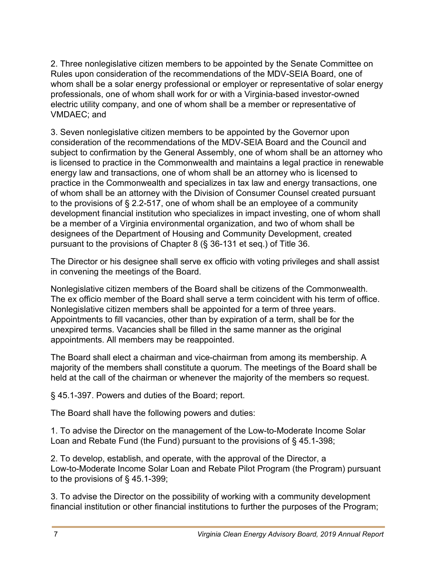2. Three nonlegislative citizen members to be appointed by the Senate Committee on Rules upon consideration of the recommendations of the MDV-SEIA Board, one of whom shall be a solar energy professional or employer or representative of solar energy professionals, one of whom shall work for or with a Virginia-based investor-owned electric utility company, and one of whom shall be a member or representative of VMDAEC; and

3. Seven nonlegislative citizen members to be appointed by the Governor upon consideration of the recommendations of the MDV-SEIA Board and the Council and subject to confirmation by the General Assembly, one of whom shall be an attorney who is licensed to practice in the Commonwealth and maintains a legal practice in renewable energy law and transactions, one of whom shall be an attorney who is licensed to practice in the Commonwealth and specializes in tax law and energy transactions, one of whom shall be an attorney with the Division of Consumer Counsel created pursuant to the provisions of § 2.2-517, one of whom shall be an employee of a community development financial institution who specializes in impact investing, one of whom shall be a member of a Virginia environmental organization, and two of whom shall be designees of the Department of Housing and Community Development, created pursuant to the provisions of Chapter 8 (§ 36-131 et seq.) of Title 36.

The Director or his designee shall serve ex officio with voting privileges and shall assist in convening the meetings of the Board.

Nonlegislative citizen members of the Board shall be citizens of the Commonwealth. The ex officio member of the Board shall serve a term coincident with his term of office. Nonlegislative citizen members shall be appointed for a term of three years. Appointments to fill vacancies, other than by expiration of a term, shall be for the unexpired terms. Vacancies shall be filled in the same manner as the original appointments. All members may be reappointed.

The Board shall elect a chairman and vice-chairman from among its membership. A majority of the members shall constitute a quorum. The meetings of the Board shall be held at the call of the chairman or whenever the majority of the members so request.

§ 45.1-397. Powers and duties of the Board; report.

The Board shall have the following powers and duties:

1. To advise the Director on the management of the Low-to-Moderate Income Solar Loan and Rebate Fund (the Fund) pursuant to the provisions of § 45.1-398;

2. To develop, establish, and operate, with the approval of the Director, a Low-to-Moderate Income Solar Loan and Rebate Pilot Program (the Program) pursuant to the provisions of § 45.1-399;

3. To advise the Director on the possibility of working with a community development financial institution or other financial institutions to further the purposes of the Program;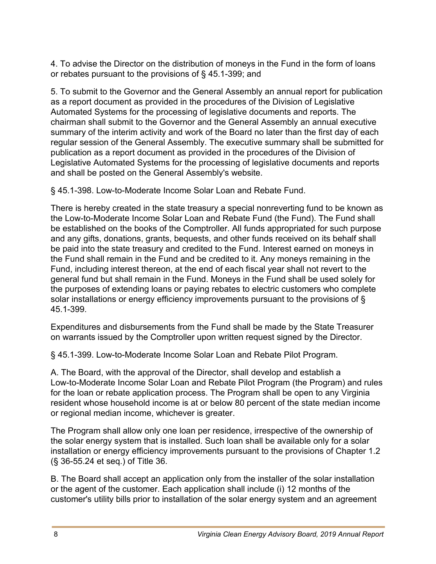4. To advise the Director on the distribution of moneys in the Fund in the form of loans or rebates pursuant to the provisions of § 45.1-399; and

5. To submit to the Governor and the General Assembly an annual report for publication as a report document as provided in the procedures of the Division of Legislative Automated Systems for the processing of legislative documents and reports. The chairman shall submit to the Governor and the General Assembly an annual executive summary of the interim activity and work of the Board no later than the first day of each regular session of the General Assembly. The executive summary shall be submitted for publication as a report document as provided in the procedures of the Division of Legislative Automated Systems for the processing of legislative documents and reports and shall be posted on the General Assembly's website.

§ 45.1-398. Low-to-Moderate Income Solar Loan and Rebate Fund.

There is hereby created in the state treasury a special nonreverting fund to be known as the Low-to-Moderate Income Solar Loan and Rebate Fund (the Fund). The Fund shall be established on the books of the Comptroller. All funds appropriated for such purpose and any gifts, donations, grants, bequests, and other funds received on its behalf shall be paid into the state treasury and credited to the Fund. Interest earned on moneys in the Fund shall remain in the Fund and be credited to it. Any moneys remaining in the Fund, including interest thereon, at the end of each fiscal year shall not revert to the general fund but shall remain in the Fund. Moneys in the Fund shall be used solely for the purposes of extending loans or paying rebates to electric customers who complete solar installations or energy efficiency improvements pursuant to the provisions of § 45.1-399.

Expenditures and disbursements from the Fund shall be made by the State Treasurer on warrants issued by the Comptroller upon written request signed by the Director.

§ 45.1-399. Low-to-Moderate Income Solar Loan and Rebate Pilot Program.

A. The Board, with the approval of the Director, shall develop and establish a Low-to-Moderate Income Solar Loan and Rebate Pilot Program (the Program) and rules for the loan or rebate application process. The Program shall be open to any Virginia resident whose household income is at or below 80 percent of the state median income or regional median income, whichever is greater.

The Program shall allow only one loan per residence, irrespective of the ownership of the solar energy system that is installed. Such loan shall be available only for a solar installation or energy efficiency improvements pursuant to the provisions of Chapter 1.2 (§ 36-55.24 et seq.) of Title 36.

B. The Board shall accept an application only from the installer of the solar installation or the agent of the customer. Each application shall include (i) 12 months of the customer's utility bills prior to installation of the solar energy system and an agreement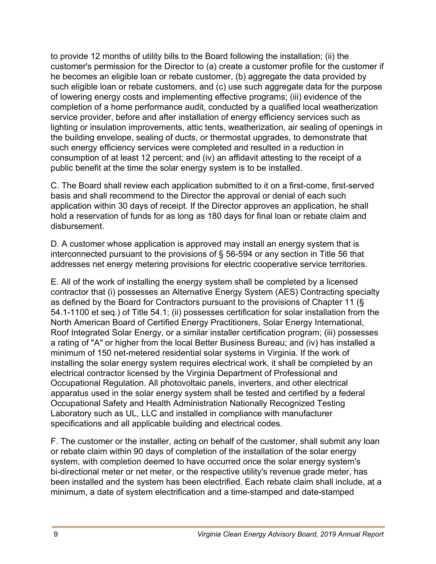to provide 12 months of utility bills to the Board following the installation; (ii) the customer's permission for the Director to (a) create a customer profile for the customer if he becomes an eligible loan or rebate customer, (b) aggregate the data provided by such eligible loan or rebate customers, and (c) use such aggregate data for the purpose of lowering energy costs and implementing effective programs; (iii) evidence of the completion of a home performance audit, conducted by a qualified local weatherization service provider, before and after installation of energy efficiency services such as lighting or insulation improvements, attic tents, weatherization, air sealing of openings in the building envelope, sealing of ducts, or thermostat upgrades, to demonstrate that such energy efficiency services were completed and resulted in a reduction in consumption of at least 12 percent; and (iv) an affidavit attesting to the receipt of a public benefit at the time the solar energy system is to be installed.

C. The Board shall review each application submitted to it on a first-come, first-served basis and shall recommend to the Director the approval or denial of each such application within 30 days of receipt. If the Director approves an application, he shall hold a reservation of funds for as long as 180 days for final loan or rebate claim and disbursement.

D. A customer whose application is approved may install an energy system that is interconnected pursuant to the provisions of § 56-594 or any section in Title 56 that addresses net energy metering provisions for electric cooperative service territories.

E. All of the work of installing the energy system shall be completed by a licensed contractor that (i) possesses an Alternative Energy System (AES) Contracting specialty as defined by the Board for Contractors pursuant to the provisions of Chapter 11 (§ 54.1-1100 et seq.) of Title 54.1; (ii) possesses certification for solar installation from the North American Board of Certified Energy Practitioners, Solar Energy International, Roof Integrated Solar Energy, or a similar installer certification program; (iii) possesses a rating of "A" or higher from the local Better Business Bureau; and (iv) has installed a minimum of 150 net-metered residential solar systems in Virginia. If the work of installing the solar energy system requires electrical work, it shall be completed by an electrical contractor licensed by the Virginia Department of Professional and Occupational Regulation. All photovoltaic panels, inverters, and other electrical apparatus used in the solar energy system shall be tested and certified by a federal Occupational Safety and Health Administration Nationally Recognized Testing Laboratory such as UL, LLC and installed in compliance with manufacturer specifications and all applicable building and electrical codes.

F. The customer or the installer, acting on behalf of the customer, shall submit any loan or rebate claim within 90 days of completion of the installation of the solar energy system, with completion deemed to have occurred once the solar energy system's bi-directional meter or net meter, or the respective utility's revenue grade meter, has been installed and the system has been electrified. Each rebate claim shall include, at a minimum, a date of system electrification and a time-stamped and date-stamped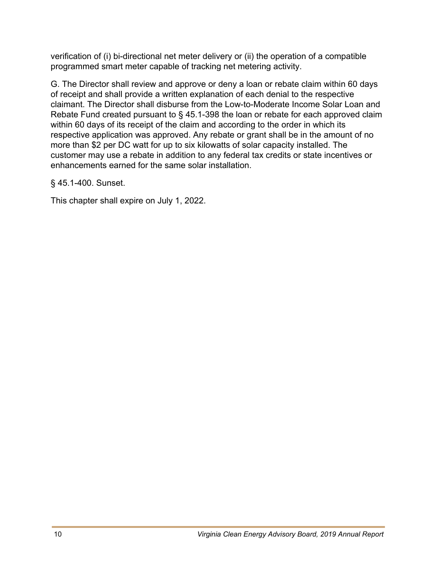verification of (i) bi-directional net meter delivery or (ii) the operation of a compatible programmed smart meter capable of tracking net metering activity.

G. The Director shall review and approve or deny a loan or rebate claim within 60 days of receipt and shall provide a written explanation of each denial to the respective claimant. The Director shall disburse from the Low-to-Moderate Income Solar Loan and Rebate Fund created pursuant to § 45.1-398 the loan or rebate for each approved claim within 60 days of its receipt of the claim and according to the order in which its respective application was approved. Any rebate or grant shall be in the amount of no more than \$2 per DC watt for up to six kilowatts of solar capacity installed. The customer may use a rebate in addition to any federal tax credits or state incentives or enhancements earned for the same solar installation.

§ 45.1-400. Sunset.

This chapter shall expire on July 1, 2022.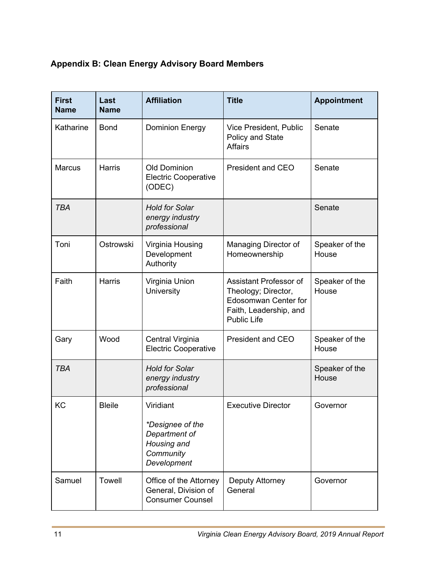#### **Appendix B: Clean Energy Advisory Board Members**

| <b>First</b><br><b>Name</b> | Last<br><b>Name</b> | <b>Affiliation</b>                                                                        | <b>Title</b>                                                                                                                 | <b>Appointment</b>      |
|-----------------------------|---------------------|-------------------------------------------------------------------------------------------|------------------------------------------------------------------------------------------------------------------------------|-------------------------|
| Katharine                   | <b>Bond</b>         | <b>Dominion Energy</b>                                                                    | Vice President, Public<br>Policy and State<br><b>Affairs</b>                                                                 | Senate                  |
| <b>Marcus</b>               | <b>Harris</b>       | <b>Old Dominion</b><br><b>Electric Cooperative</b><br>(ODEC)                              | <b>President and CEO</b>                                                                                                     | Senate                  |
| <b>TBA</b>                  |                     | <b>Hold for Solar</b><br>energy industry<br>professional                                  |                                                                                                                              | Senate                  |
| Toni                        | Ostrowski           | Virginia Housing<br>Development<br>Authority                                              | Managing Director of<br>Homeownership                                                                                        | Speaker of the<br>House |
| Faith                       | <b>Harris</b>       | Virginia Union<br><b>University</b>                                                       | Assistant Professor of<br>Theology; Director,<br><b>Edosomwan Center for</b><br>Faith, Leadership, and<br><b>Public Life</b> | Speaker of the<br>House |
| Gary                        | Wood                | Central Virginia<br><b>Electric Cooperative</b>                                           | President and CEO                                                                                                            | Speaker of the<br>House |
| <b>TBA</b>                  |                     | <b>Hold for Solar</b><br>energy industry<br>professional                                  |                                                                                                                              | Speaker of the<br>House |
| KC                          | <b>Bleile</b>       | Viridiant<br>*Designee of the<br>Department of<br>Housing and<br>Community<br>Development | <b>Executive Director</b>                                                                                                    | Governor                |
| Samuel                      | <b>Towell</b>       | Office of the Attorney<br>General, Division of<br><b>Consumer Counsel</b>                 | Deputy Attorney<br>General                                                                                                   | Governor                |